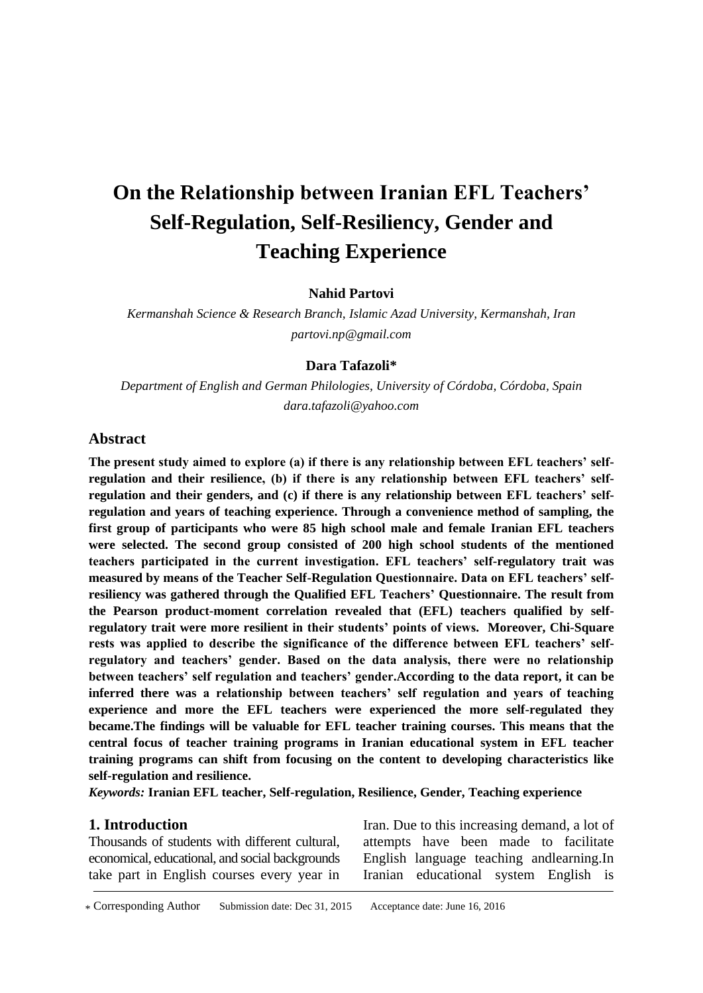# **On the Relationship between Iranian EFL Teachers' Self-Regulation, Self-Resiliency, Gender and Teaching Experience**

**Nahid Partovi**

*Kermanshah Science & Research Branch, Islamic Azad University, Kermanshah, Iran partovi.np@gmail.com*

#### **Dara Tafazoli\***

*Department of English and German Philologies, University of Córdoba, Córdoba, Spain dara.tafazoli@yahoo.com*

#### **Abstract**

**The present study aimed to explore (a) if there is any relationship between EFL teachers' selfregulation and their resilience, (b) if there is any relationship between EFL teachers' selfregulation and their genders, and (c) if there is any relationship between EFL teachers' selfregulation and years of teaching experience. Through a convenience method of sampling, the first group of participants who were 85 high school male and female Iranian EFL teachers were selected. The second group consisted of 200 high school students of the mentioned teachers participated in the current investigation. EFL teachers' self-regulatory trait was measured by means of the Teacher Self-Regulation Questionnaire. Data on EFL teachers' selfresiliency was gathered through the Qualified EFL Teachers' Questionnaire. The result from the Pearson product-moment correlation revealed that (EFL) teachers qualified by selfregulatory trait were more resilient in their students' points of views. Moreover, Chi-Square rests was applied to describe the significance of the difference between EFL teachers' selfregulatory and teachers' gender. Based on the data analysis, there were no relationship between teachers' self regulation and teachers' gender.According to the data report, it can be inferred there was a relationship between teachers' self regulation and years of teaching experience and more the EFL teachers were experienced the more self-regulated they became.The findings will be valuable for EFL teacher training courses. This means that the central focus of teacher training programs in Iranian educational system in EFL teacher training programs can shift from focusing on the content to developing characteristics like self-regulation and resilience.**

*Keywords:* **Iranian EFL teacher, Self-regulation, Resilience, Gender, Teaching experience**

#### **1. Introduction**

Thousands of students with different cultural, economical, educational, and social backgrounds take part in English courses every year in

Iran. Due to this increasing demand, a lot of attempts have been made to facilitate English language teaching andlearning.In Iranian educational system English is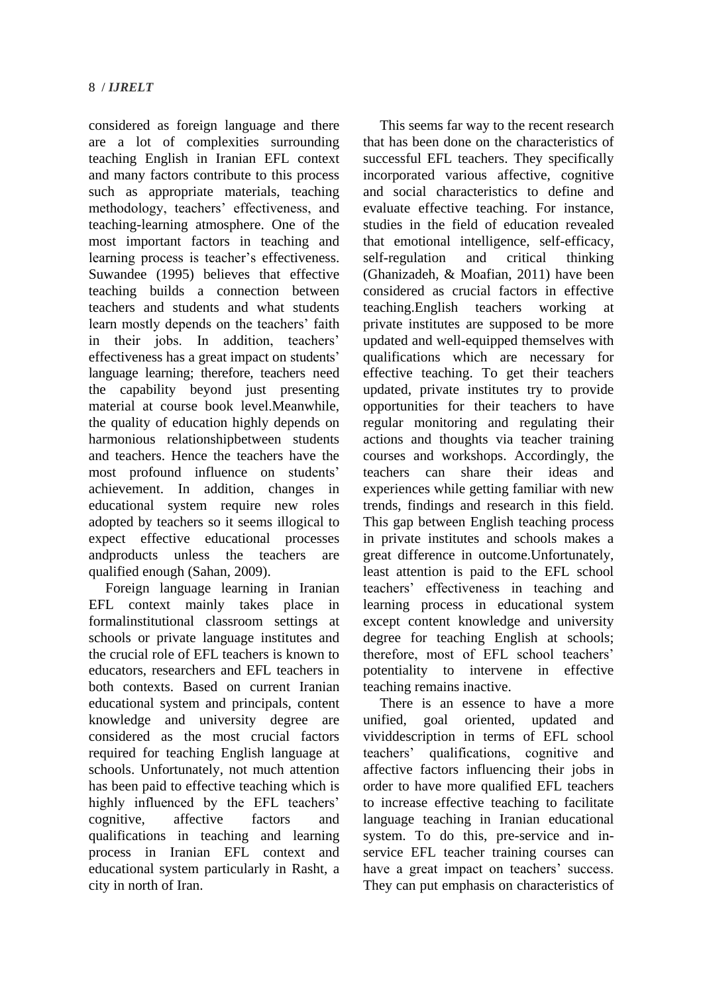considered as foreign language and there are a lot of complexities surrounding teaching English in Iranian EFL context and many factors contribute to this process such as appropriate materials, teaching methodology, teachers' effectiveness, and teaching-learning atmosphere. One of the most important factors in teaching and learning process is teacher's effectiveness. Suwandee (1995) believes that effective teaching builds a connection between teachers and students and what students learn mostly depends on the teachers' faith in their jobs. In addition, teachers' effectiveness has a great impact on students' language learning; therefore, teachers need the capability beyond just presenting material at course book level.Meanwhile, the quality of education highly depends on harmonious relationshipbetween students and teachers. Hence the teachers have the most profound influence on students' achievement. In addition, changes in educational system require new roles adopted by teachers so it seems illogical to expect effective educational processes andproducts unless the teachers are qualified enough (Sahan, 2009).

Foreign language learning in Iranian EFL context mainly takes place in formalinstitutional classroom settings at schools or private language institutes and the crucial role of EFL teachers is known to educators, researchers and EFL teachers in both contexts. Based on current Iranian educational system and principals, content knowledge and university degree are considered as the most crucial factors required for teaching English language at schools. Unfortunately, not much attention has been paid to effective teaching which is highly influenced by the EFL teachers' cognitive, affective factors and qualifications in teaching and learning process in Iranian EFL context and educational system particularly in Rasht, a city in north of Iran.

This seems far way to the recent research that has been done on the characteristics of successful EFL teachers. They specifically incorporated various affective, cognitive and social characteristics to define and evaluate effective teaching. For instance, studies in the field of education revealed that emotional intelligence, self-efficacy, self-regulation and critical thinking (Ghanizadeh, & Moafian, 2011) have been considered as crucial factors in effective teaching.English teachers working at private institutes are supposed to be more updated and well-equipped themselves with qualifications which are necessary for effective teaching. To get their teachers updated, private institutes try to provide opportunities for their teachers to have regular monitoring and regulating their actions and thoughts via teacher training courses and workshops. Accordingly, the teachers can share their ideas and experiences while getting familiar with new trends, findings and research in this field. This gap between English teaching process in private institutes and schools makes a great difference in outcome.Unfortunately, least attention is paid to the EFL school teachers' effectiveness in teaching and learning process in educational system except content knowledge and university degree for teaching English at schools; therefore, most of EFL school teachers' potentiality to intervene in effective teaching remains inactive.

There is an essence to have a more unified, goal oriented, updated and vividdescription in terms of EFL school teachers' qualifications, cognitive and affective factors influencing their jobs in order to have more qualified EFL teachers to increase effective teaching to facilitate language teaching in Iranian educational system. To do this, pre-service and inservice EFL teacher training courses can have a great impact on teachers' success. They can put emphasis on characteristics of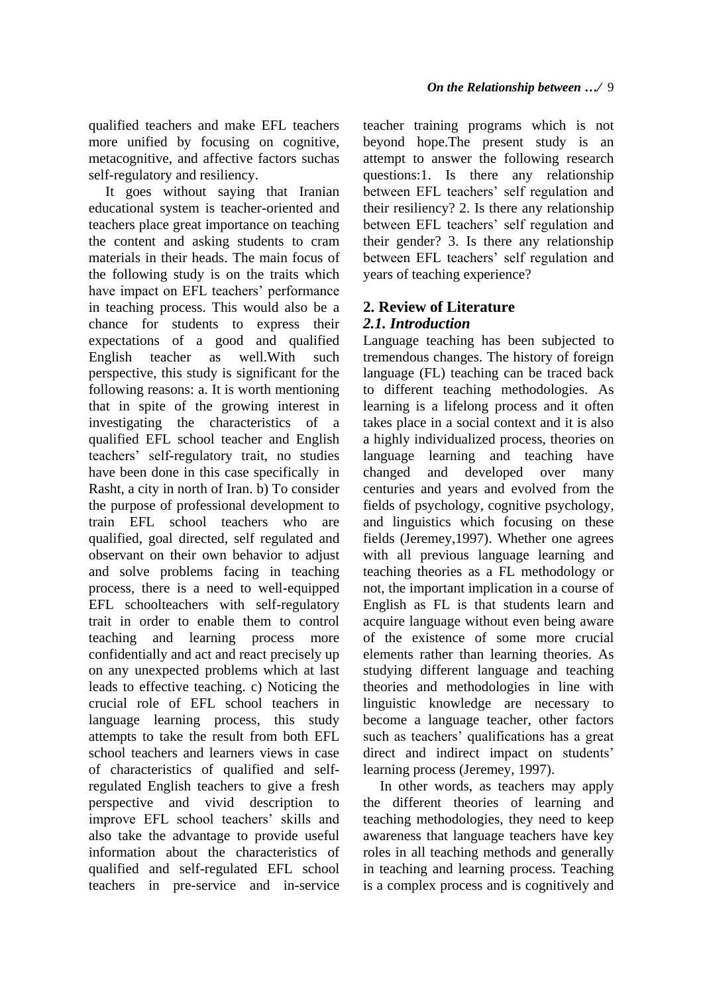qualified teachers and make EFL teachers more unified by focusing on cognitive, metacognitive, and affective factors suchas self-regulatory and resiliency.

It goes without saying that Iranian educational system is teacher-oriented and teachers place great importance on teaching the content and asking students to cram materials in their heads. The main focus of the following study is on the traits which have impact on EFL teachers' performance in teaching process. This would also be a chance for students to express their expectations of a good and qualified English teacher as well.With such perspective, this study is significant for the following reasons: a. It is worth mentioning that in spite of the growing interest in investigating the characteristics of a qualified EFL school teacher and English teachers' self-regulatory trait, no studies have been done in this case specifically in Rasht, a city in north of Iran. b) To consider the purpose of professional development to train EFL school teachers who are qualified, goal directed, self regulated and observant on their own behavior to adjust and solve problems facing in teaching process, there is a need to well-equipped EFL schoolteachers with self-regulatory trait in order to enable them to control teaching and learning process more confidentially and act and react precisely up on any unexpected problems which at last leads to effective teaching. c) Noticing the crucial role of EFL school teachers in language learning process, this study attempts to take the result from both EFL school teachers and learners views in case of characteristics of qualified and selfregulated English teachers to give a fresh perspective and vivid description to improve EFL school teachers' skills and also take the advantage to provide useful information about the characteristics of qualified and self-regulated EFL school teachers in pre-service and in-service teacher training programs which is not beyond hope.The present study is an attempt to answer the following research questions:1. Is there any relationship between EFL teachers' self regulation and their resiliency? 2. Is there any relationship between EFL teachers' self regulation and their gender? 3. Is there any relationship between EFL teachers' self regulation and years of teaching experience?

### **2. Review of Literature** *2.1. Introduction*

Language teaching has been subjected to tremendous changes. The history of foreign language (FL) teaching can be traced back to different teaching methodologies. As learning is a lifelong process and it often takes place in a social context and it is also a highly individualized process, theories on language learning and teaching have changed and developed over many centuries and years and evolved from the fields of psychology, cognitive psychology, and linguistics which focusing on these fields (Jeremey,1997). Whether one agrees with all previous language learning and teaching theories as a FL methodology or not, the important implication in a course of English as FL is that students learn and acquire language without even being aware of the existence of some more crucial elements rather than learning theories. As studying different language and teaching theories and methodologies in line with linguistic knowledge are necessary to become a language teacher, other factors such as teachers' qualifications has a great direct and indirect impact on students' learning process (Jeremey, 1997).

In other words, as teachers may apply the different theories of learning and teaching methodologies, they need to keep awareness that language teachers have key roles in all teaching methods and generally in teaching and learning process. Teaching is a complex process and is cognitively and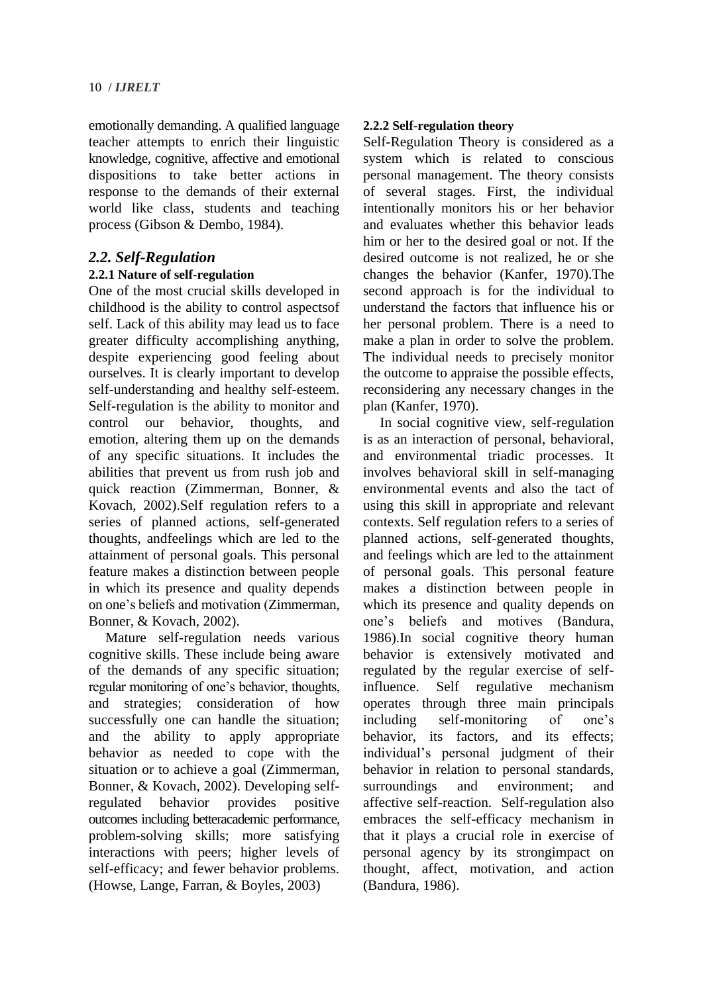emotionally demanding. A qualified language teacher attempts to enrich their linguistic knowledge, cognitive, affective and emotional dispositions to take better actions in response to the demands of their external world like class, students and teaching process (Gibson & Dembo, 1984).

### *2.2. Self-Regulation*

### **2.2.1 Nature of self-regulation**

One of the most crucial skills developed in childhood is the ability to control aspectsof self. Lack of this ability may lead us to face greater difficulty accomplishing anything, despite experiencing good feeling about ourselves. It is clearly important to develop self-understanding and healthy self-esteem. Self-regulation is the ability to monitor and control our behavior, thoughts, and emotion, altering them up on the demands of any specific situations. It includes the abilities that prevent us from rush job and quick reaction (Zimmerman, Bonner, & Kovach, 2002).Self regulation refers to a series of planned actions, self-generated thoughts, andfeelings which are led to the attainment of personal goals. This personal feature makes a distinction between people in which its presence and quality depends on one's beliefs and motivation (Zimmerman, Bonner, & Kovach, 2002).

Mature self-regulation needs various cognitive skills. These include being aware of the demands of any specific situation; regular monitoring of one's behavior, thoughts, and strategies; consideration of how successfully one can handle the situation; and the ability to apply appropriate behavior as needed to cope with the situation or to achieve a goal (Zimmerman, Bonner, & Kovach, 2002). Developing selfregulated behavior provides positive outcomes including betteracademic performance, problem-solving skills; more satisfying interactions with peers; higher levels of self-efficacy; and fewer behavior problems. (Howse, Lange, Farran, & Boyles, 2003)

### **2.2.2 Self-regulation theory**

Self-Regulation Theory is considered as a system which is related to conscious personal management. The theory consists of several stages. First, the individual intentionally monitors his or her behavior and evaluates whether this behavior leads him or her to the desired goal or not. If the desired outcome is not realized, he or she changes the behavior (Kanfer, 1970).The second approach is for the individual to understand the factors that influence his or her personal problem. There is a need to make a plan in order to solve the problem. The individual needs to precisely monitor the outcome to appraise the possible effects, reconsidering any necessary changes in the plan (Kanfer, 1970).

In social cognitive view, self-regulation is as an interaction of personal, behavioral, and environmental triadic processes. It involves behavioral skill in self-managing environmental events and also the tact of using this skill in appropriate and relevant contexts. Self regulation refers to a series of planned actions, self-generated thoughts, and feelings which are led to the attainment of personal goals. This personal feature makes a distinction between people in which its presence and quality depends on one's beliefs and motives (Bandura, 1986).In social cognitive theory human behavior is extensively motivated and regulated by the regular exercise of selfinfluence. Self regulative mechanism operates through three main principals including self-monitoring of one's behavior, its factors, and its effects: individual's personal judgment of their behavior in relation to personal standards, surroundings and environment; and affective self-reaction. Self-regulation also embraces the self-efficacy mechanism in that it plays a crucial role in exercise of personal agency by its strongimpact on thought, affect, motivation, and action (Bandura, 1986).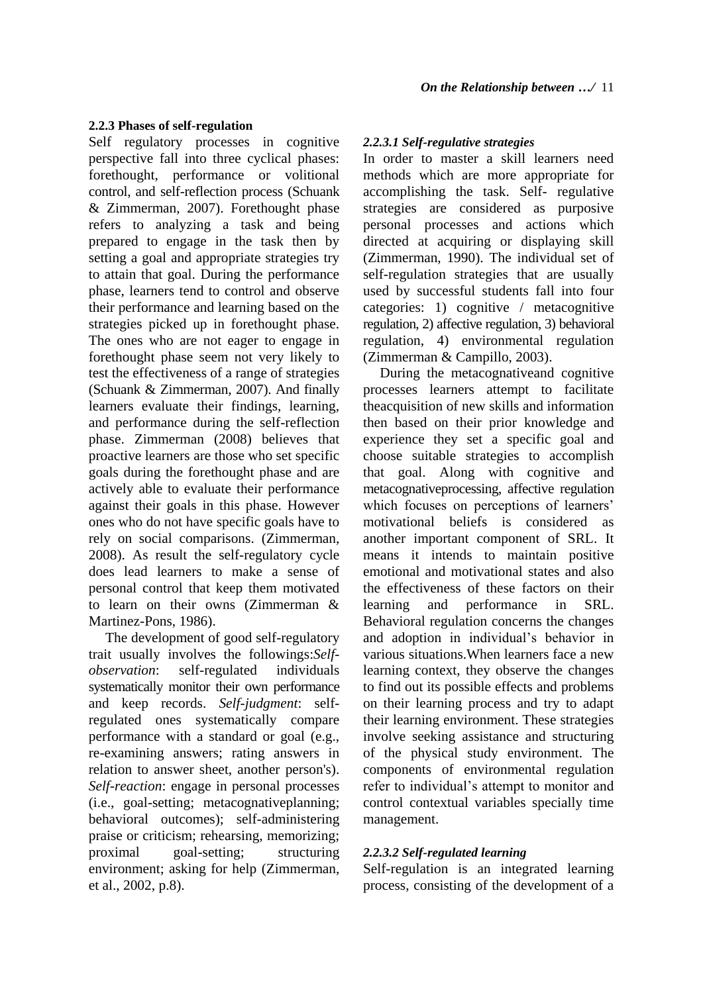### **2.2.3 Phases of self-regulation**

Self regulatory processes in cognitive perspective fall into three cyclical phases: forethought, performance or volitional control, and self-reflection process (Schuank & Zimmerman, 2007). Forethought phase refers to analyzing a task and being prepared to engage in the task then by setting a goal and appropriate strategies try to attain that goal. During the performance phase, learners tend to control and observe their performance and learning based on the strategies picked up in forethought phase. The ones who are not eager to engage in forethought phase seem not very likely to test the effectiveness of a range of strategies (Schuank & Zimmerman, 2007). And finally learners evaluate their findings, learning, and performance during the self-reflection phase. Zimmerman (2008) believes that proactive learners are those who set specific goals during the forethought phase and are actively able to evaluate their performance against their goals in this phase. However ones who do not have specific goals have to rely on social comparisons. (Zimmerman, 2008). As result the self-regulatory cycle does lead learners to make a sense of personal control that keep them motivated to learn on their owns (Zimmerman & Martinez-Pons, 1986).

The development of good self-regulatory trait usually involves the followings:*Selfobservation*: self-regulated individuals systematically monitor their own performance and keep records. *Self-judgment*: selfregulated ones systematically compare performance with a standard or goal (e.g., re-examining answers; rating answers in relation to answer sheet, another person's). *Self-reaction*: engage in personal processes (i.e., goal-setting; metacognativeplanning; behavioral outcomes); self-administering praise or criticism; rehearsing, memorizing; proximal goal-setting; structuring environment; asking for help (Zimmerman, et al., 2002, p.8).

### *2.2.3.1 Self-regulative strategies*

In order to master a skill learners need methods which are more appropriate for accomplishing the task. Self- regulative strategies are considered as purposive personal processes and actions which directed at acquiring or displaying skill (Zimmerman, 1990). The individual set of self-regulation strategies that are usually used by successful students fall into four categories: 1) cognitive / metacognitive regulation, 2) affective regulation, 3) behavioral regulation, 4) environmental regulation (Zimmerman & Campillo, 2003).

During the metacognativeand cognitive processes learners attempt to facilitate theacquisition of new skills and information then based on their prior knowledge and experience they set a specific goal and choose suitable strategies to accomplish that goal. Along with cognitive and metacognativeprocessing, affective regulation which focuses on perceptions of learners' motivational beliefs is considered as another important component of SRL. It means it intends to maintain positive emotional and motivational states and also the effectiveness of these factors on their learning and performance in SRL. Behavioral regulation concerns the changes and adoption in individual's behavior in various situations.When learners face a new learning context, they observe the changes to find out its possible effects and problems on their learning process and try to adapt their learning environment. These strategies involve seeking assistance and structuring of the physical study environment. The components of environmental regulation refer to individual's attempt to monitor and control contextual variables specially time management.

### *2.2.3.2 Self-regulated learning*

Self-regulation is an integrated learning process, consisting of the development of a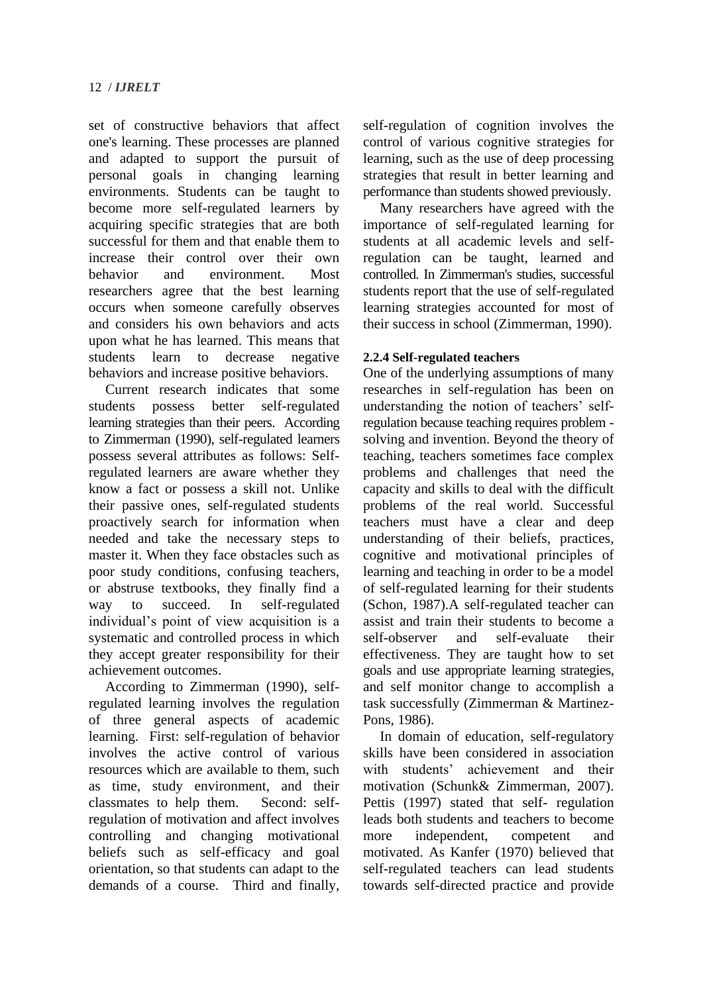set of constructive behaviors that affect one's learning. These processes are planned and adapted to support the pursuit of personal goals in changing learning environments. Students can be taught to become more self-regulated learners by acquiring specific strategies that are both successful for them and that enable them to increase their control over their own behavior and environment. Most researchers agree that the best learning occurs when someone carefully observes and considers his own behaviors and acts upon what he has learned. This means that students learn to decrease negative behaviors and increase positive behaviors.

Current research indicates that some students possess better self-regulated learning strategies than their peers. According to Zimmerman (1990), self-regulated learners possess several attributes as follows: Selfregulated learners are aware whether they know a fact or possess a skill not. Unlike their passive ones, self-regulated students proactively search for information when needed and take the necessary steps to master it. When they face obstacles such as poor study conditions, confusing teachers, or abstruse textbooks, they finally find a way to succeed. In self-regulated individual's point of view acquisition is a systematic and controlled process in which they accept greater responsibility for their achievement outcomes.

According to Zimmerman (1990), selfregulated learning involves the regulation of three general aspects of academic learning. First: self-regulation of behavior involves the active control of various resources which are available to them, such as time, study environment, and their classmates to help them. Second: selfregulation of motivation and affect involves controlling and changing motivational beliefs such as self-efficacy and goal orientation, so that students can adapt to the demands of a course. Third and finally, self-regulation of cognition involves the control of various cognitive strategies for learning, such as the use of deep processing strategies that result in better learning and performance than students showed previously.

Many researchers have agreed with the importance of self-regulated learning for students at all academic levels and selfregulation can be taught, learned and controlled. In Zimmerman's studies, successful students report that the use of self-regulated learning strategies accounted for most of their success in school (Zimmerman, 1990).

### **2.2.4 Self-regulated teachers**

One of the underlying assumptions of many researches in self-regulation has been on understanding the notion of teachers' selfregulation because teaching requires problem solving and invention. Beyond the theory of teaching, teachers sometimes face complex problems and challenges that need the capacity and skills to deal with the difficult problems of the real world. Successful teachers must have a clear and deep understanding of their beliefs, practices, cognitive and motivational principles of learning and teaching in order to be a model of self-regulated learning for their students (Schon, 1987).A self-regulated teacher can assist and train their students to become a self-observer and self-evaluate their effectiveness. They are taught how to set goals and use appropriate learning strategies, and self monitor change to accomplish a task successfully (Zimmerman & Martinez-Pons, 1986).

In domain of education, self-regulatory skills have been considered in association with students' achievement and their motivation (Schunk& Zimmerman, 2007). Pettis (1997) stated that self- regulation leads both students and teachers to become more independent, competent and motivated. As Kanfer (1970) believed that self-regulated teachers can lead students towards self-directed practice and provide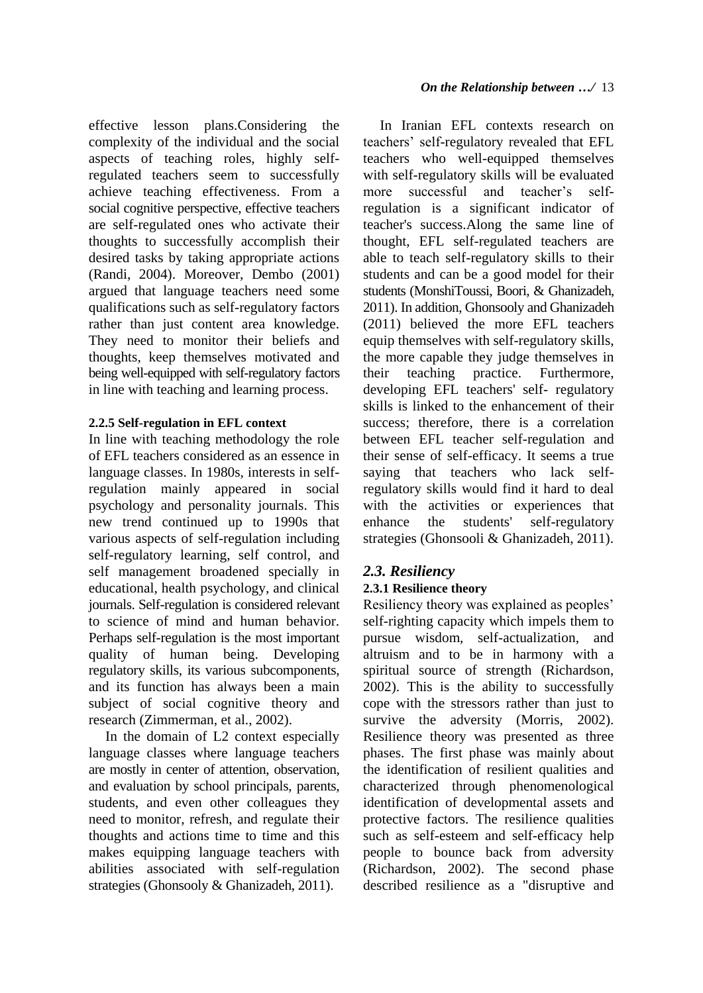effective lesson plans.Considering the complexity of the individual and the social aspects of teaching roles, highly selfregulated teachers seem to successfully achieve teaching effectiveness. From a social cognitive perspective, effective teachers are self-regulated ones who activate their thoughts to successfully accomplish their desired tasks by taking appropriate actions (Randi, 2004). Moreover, Dembo (2001) argued that language teachers need some qualifications such as self-regulatory factors rather than just content area knowledge. They need to monitor their beliefs and thoughts, keep themselves motivated and being well-equipped with self-regulatory factors in line with teaching and learning process.

### **2.2.5 Self-regulation in EFL context**

In line with teaching methodology the role of EFL teachers considered as an essence in language classes. In 1980s, interests in selfregulation mainly appeared in social psychology and personality journals. This new trend continued up to 1990s that various aspects of self-regulation including self-regulatory learning, self control, and self management broadened specially in educational, health psychology, and clinical journals. Self-regulation is considered relevant to science of mind and human behavior. Perhaps self-regulation is the most important quality of human being. Developing regulatory skills, its various subcomponents, and its function has always been a main subject of social cognitive theory and research (Zimmerman, et al., 2002).

In the domain of L2 context especially language classes where language teachers are mostly in center of attention, observation, and evaluation by school principals, parents, students, and even other colleagues they need to monitor, refresh, and regulate their thoughts and actions time to time and this makes equipping language teachers with abilities associated with self-regulation strategies (Ghonsooly & Ghanizadeh, 2011).

In Iranian EFL contexts research on teachers' self-regulatory revealed that EFL teachers who well-equipped themselves with self-regulatory skills will be evaluated more successful and teacher's selfregulation is a significant indicator of teacher's success.Along the same line of thought, EFL self-regulated teachers are able to teach self-regulatory skills to their students and can be a good model for their students (MonshiToussi, Boori, & Ghanizadeh, 2011). In addition, Ghonsooly and Ghanizadeh (2011) believed the more EFL teachers equip themselves with self-regulatory skills, the more capable they judge themselves in their teaching practice. Furthermore, developing EFL teachers' self- regulatory skills is linked to the enhancement of their success; therefore, there is a correlation between EFL teacher self-regulation and their sense of self-efficacy. It seems a true saying that teachers who lack selfregulatory skills would find it hard to deal with the activities or experiences that enhance the students' self-regulatory strategies (Ghonsooli & Ghanizadeh, 2011).

### *2.3. Resiliency*

### **2.3.1 Resilience theory**

Resiliency theory was explained as peoples' self-righting capacity which impels them to pursue wisdom, self-actualization, and altruism and to be in harmony with a spiritual source of strength (Richardson, 2002). This is the ability to successfully cope with the stressors rather than just to survive the adversity (Morris, 2002). Resilience theory was presented as three phases. The first phase was mainly about the identification of resilient qualities and characterized through phenomenological identification of developmental assets and protective factors. The resilience qualities such as self-esteem and self-efficacy help people to bounce back from adversity (Richardson, 2002). The second phase described resilience as a "disruptive and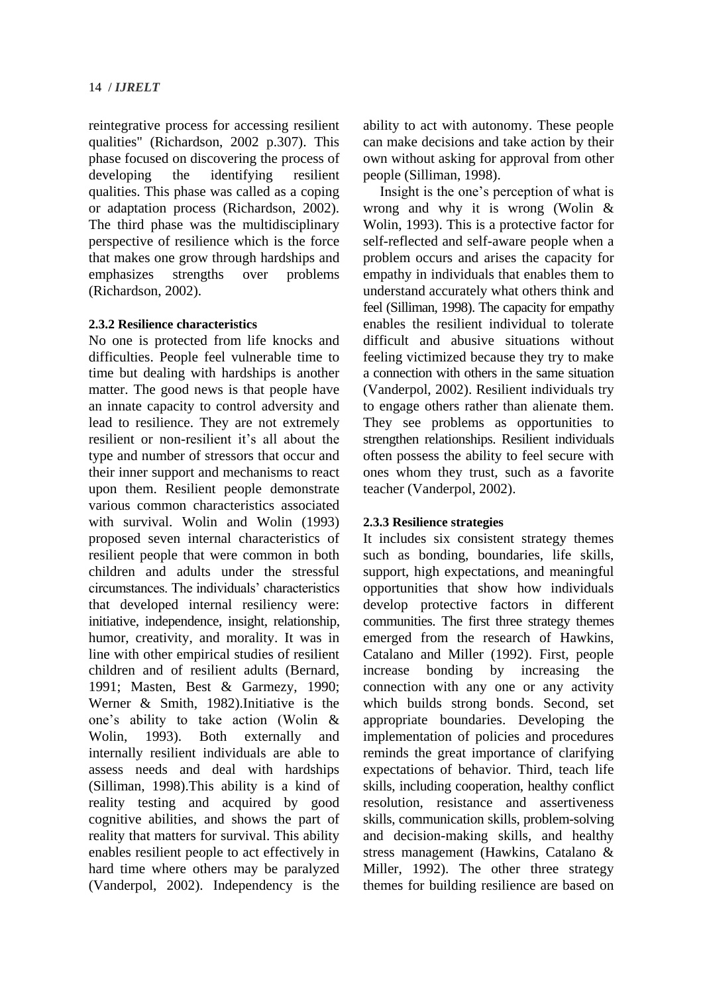reintegrative process for accessing resilient qualities" (Richardson, 2002 p.307). This phase focused on discovering the process of developing the identifying resilient qualities. This phase was called as a coping or adaptation process (Richardson, 2002). The third phase was the multidisciplinary perspective of resilience which is the force that makes one grow through hardships and emphasizes strengths over problems (Richardson, 2002).

#### **2.3.2 Resilience characteristics**

No one is protected from life knocks and difficulties. People feel vulnerable time to time but dealing with hardships is another matter. The good news is that people have an innate capacity to control adversity and lead to resilience. They are not extremely resilient or non-resilient it's all about the type and number of stressors that occur and their inner support and mechanisms to react upon them. Resilient people demonstrate various common characteristics associated with survival. Wolin and Wolin (1993) proposed seven internal characteristics of resilient people that were common in both children and adults under the stressful circumstances. The individuals' characteristics that developed internal resiliency were: initiative, independence, insight, relationship, humor, creativity, and morality. It was in line with other empirical studies of resilient children and of resilient adults (Bernard, 1991; Masten, Best & Garmezy, 1990; Werner & Smith, 1982).Initiative is the one's ability to take action (Wolin & Wolin, 1993). Both externally and internally resilient individuals are able to assess needs and deal with hardships (Silliman, 1998).This ability is a kind of reality testing and acquired by good cognitive abilities, and shows the part of reality that matters for survival. This ability enables resilient people to act effectively in hard time where others may be paralyzed (Vanderpol, 2002). Independency is the ability to act with autonomy. These people can make decisions and take action by their own without asking for approval from other people (Silliman, 1998).

Insight is the one's perception of what is wrong and why it is wrong (Wolin & Wolin, 1993). This is a protective factor for self-reflected and self-aware people when a problem occurs and arises the capacity for empathy in individuals that enables them to understand accurately what others think and feel (Silliman, 1998). The capacity for empathy enables the resilient individual to tolerate difficult and abusive situations without feeling victimized because they try to make a connection with others in the same situation (Vanderpol, 2002). Resilient individuals try to engage others rather than alienate them. They see problems as opportunities to strengthen relationships. Resilient individuals often possess the ability to feel secure with ones whom they trust, such as a favorite teacher (Vanderpol, 2002).

### **2.3.3 Resilience strategies**

It includes six consistent strategy themes such as bonding, boundaries, life skills, support, high expectations, and meaningful opportunities that show how individuals develop protective factors in different communities. The first three strategy themes emerged from the research of Hawkins, Catalano and Miller (1992). First, people increase bonding by increasing the connection with any one or any activity which builds strong bonds. Second, set appropriate boundaries. Developing the implementation of policies and procedures reminds the great importance of clarifying expectations of behavior. Third, teach life skills, including cooperation, healthy conflict resolution, resistance and assertiveness skills, communication skills, problem-solving and decision-making skills, and healthy stress management (Hawkins, Catalano & Miller, 1992). The other three strategy themes for building resilience are based on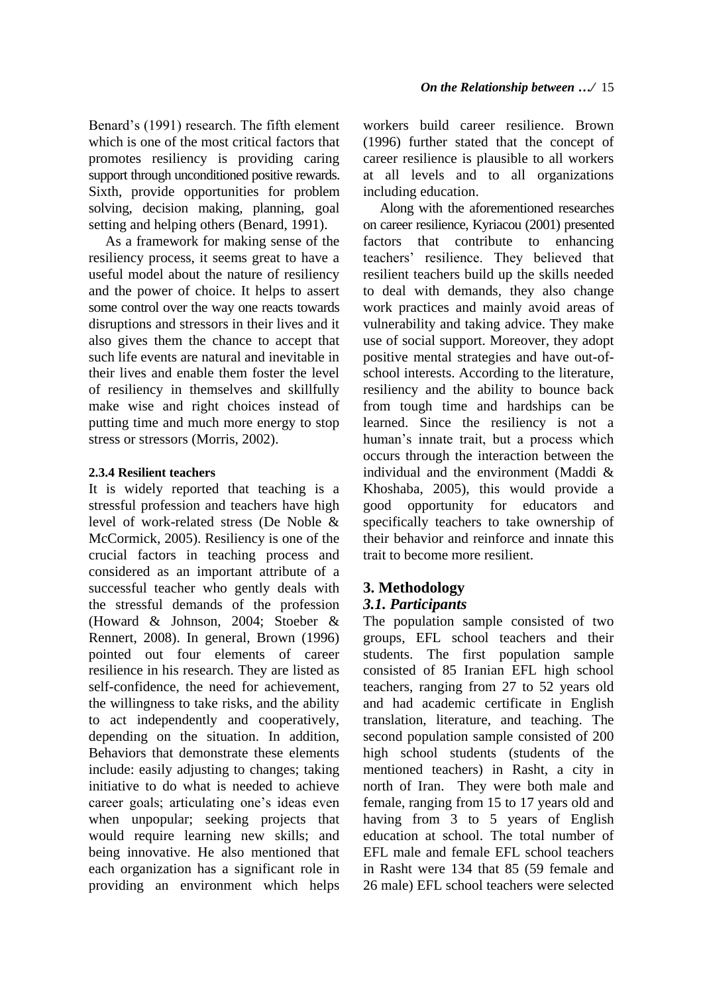Benard's (1991) research. The fifth element which is one of the most critical factors that promotes resiliency is providing caring support through unconditioned positive rewards. Sixth, provide opportunities for problem solving, decision making, planning, goal setting and helping others (Benard, 1991).

As a framework for making sense of the resiliency process, it seems great to have a useful model about the nature of resiliency and the power of choice. It helps to assert some control over the way one reacts towards disruptions and stressors in their lives and it also gives them the chance to accept that such life events are natural and inevitable in their lives and enable them foster the level of resiliency in themselves and skillfully make wise and right choices instead of putting time and much more energy to stop stress or stressors (Morris, 2002).

### **2.3.4 Resilient teachers**

It is widely reported that teaching is a stressful profession and teachers have high level of work-related stress (De Noble & McCormick, 2005). Resiliency is one of the crucial factors in teaching process and considered as an important attribute of a successful teacher who gently deals with the stressful demands of the profession (Howard & Johnson, 2004; Stoeber & Rennert, 2008). In general, Brown (1996) pointed out four elements of career resilience in his research. They are listed as self-confidence, the need for achievement, the willingness to take risks, and the ability to act independently and cooperatively, depending on the situation. In addition, Behaviors that demonstrate these elements include: easily adjusting to changes; taking initiative to do what is needed to achieve career goals; articulating one's ideas even when unpopular; seeking projects that would require learning new skills; and being innovative. He also mentioned that each organization has a significant role in providing an environment which helps

workers build career resilience. Brown (1996) further stated that the concept of career resilience is plausible to all workers at all levels and to all organizations including education.

Along with the aforementioned researches on career resilience, Kyriacou (2001) presented factors that contribute to enhancing teachers' resilience. They believed that resilient teachers build up the skills needed to deal with demands, they also change work practices and mainly avoid areas of vulnerability and taking advice. They make use of social support. Moreover, they adopt positive mental strategies and have out-ofschool interests. According to the literature, resiliency and the ability to bounce back from tough time and hardships can be learned. Since the resiliency is not a human's innate trait, but a process which occurs through the interaction between the individual and the environment (Maddi & Khoshaba, 2005), this would provide a good opportunity for educators and specifically teachers to take ownership of their behavior and reinforce and innate this trait to become more resilient.

## **3. Methodology**

### *3.1. Participants*

The population sample consisted of two groups, EFL school teachers and their students. The first population sample consisted of 85 Iranian EFL high school teachers, ranging from 27 to 52 years old and had academic certificate in English translation, literature, and teaching. The second population sample consisted of 200 high school students (students of the mentioned teachers) in Rasht, a city in north of Iran. They were both male and female, ranging from 15 to 17 years old and having from 3 to 5 years of English education at school. The total number of EFL male and female EFL school teachers in Rasht were 134 that 85 (59 female and 26 male) EFL school teachers were selected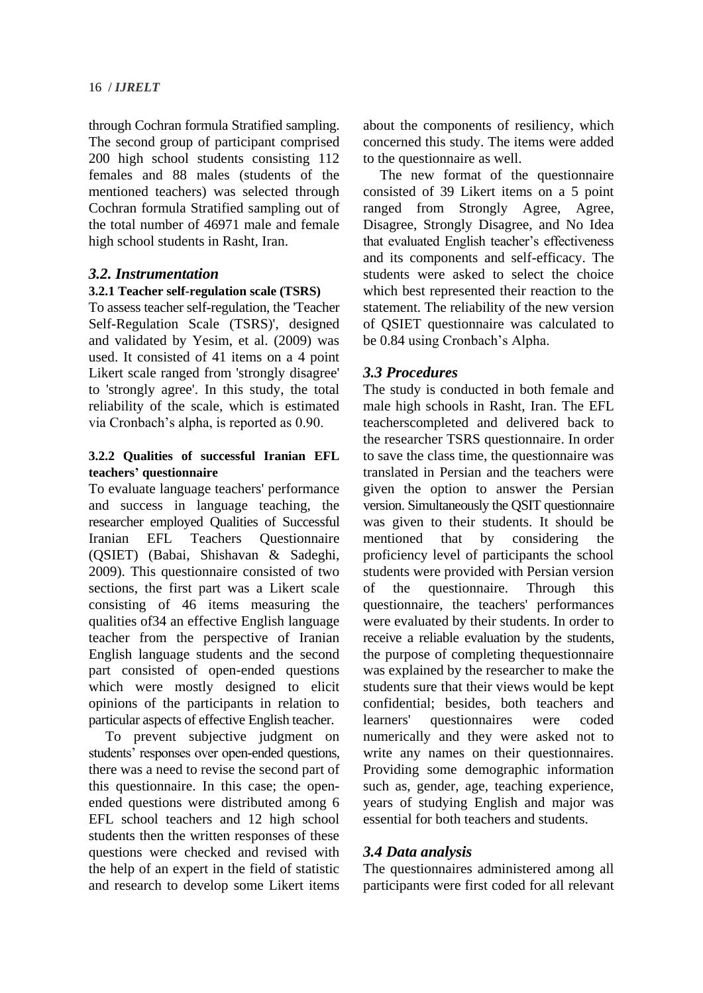through Cochran formula Stratified sampling. The second group of participant comprised 200 high school students consisting 112 females and 88 males (students of the mentioned teachers) was selected through Cochran formula Stratified sampling out of the total number of 46971 male and female high school students in Rasht, Iran.

### *3.2. Instrumentation*

### **3.2.1 Teacher self-regulation scale (TSRS)**

To assess teacher self-regulation, the 'Teacher Self-Regulation Scale (TSRS)', designed and validated by Yesim, et al. (2009) was used. It consisted of 41 items on a 4 point Likert scale ranged from 'strongly disagree' to 'strongly agree'. In this study, the total reliability of the scale, which is estimated via Cronbach's alpha, is reported as 0.90.

### **3.2.2 Qualities of successful Iranian EFL teachers' questionnaire**

To evaluate language teachers' performance and success in language teaching, the researcher employed Qualities of Successful Iranian EFL Teachers Questionnaire (QSIET) (Babai, Shishavan & Sadeghi, 2009). This questionnaire consisted of two sections, the first part was a Likert scale consisting of 46 items measuring the qualities of34 an effective English language teacher from the perspective of Iranian English language students and the second part consisted of open-ended questions which were mostly designed to elicit opinions of the participants in relation to particular aspects of effective English teacher.

To prevent subjective judgment on students' responses over open-ended questions, there was a need to revise the second part of this questionnaire. In this case; the openended questions were distributed among 6 EFL school teachers and 12 high school students then the written responses of these questions were checked and revised with the help of an expert in the field of statistic and research to develop some Likert items

about the components of resiliency, which concerned this study. The items were added to the questionnaire as well.

The new format of the questionnaire consisted of 39 Likert items on a 5 point ranged from Strongly Agree, Agree, Disagree, Strongly Disagree, and No Idea that evaluated English teacher's effectiveness and its components and self-efficacy. The students were asked to select the choice which best represented their reaction to the statement. The reliability of the new version of QSIET questionnaire was calculated to be 0.84 using Cronbach's Alpha.

### *3.3 Procedures*

The study is conducted in both female and male high schools in Rasht, Iran. The EFL teacherscompleted and delivered back to the researcher TSRS questionnaire. In order to save the class time, the questionnaire was translated in Persian and the teachers were given the option to answer the Persian version. Simultaneously the QSIT questionnaire was given to their students. It should be mentioned that by considering the proficiency level of participants the school students were provided with Persian version of the questionnaire. Through this questionnaire, the teachers' performances were evaluated by their students. In order to receive a reliable evaluation by the students, the purpose of completing thequestionnaire was explained by the researcher to make the students sure that their views would be kept confidential; besides, both teachers and learners' questionnaires were coded numerically and they were asked not to write any names on their questionnaires. Providing some demographic information such as, gender, age, teaching experience, years of studying English and major was essential for both teachers and students.

### *3.4 Data analysis*

The questionnaires administered among all participants were first coded for all relevant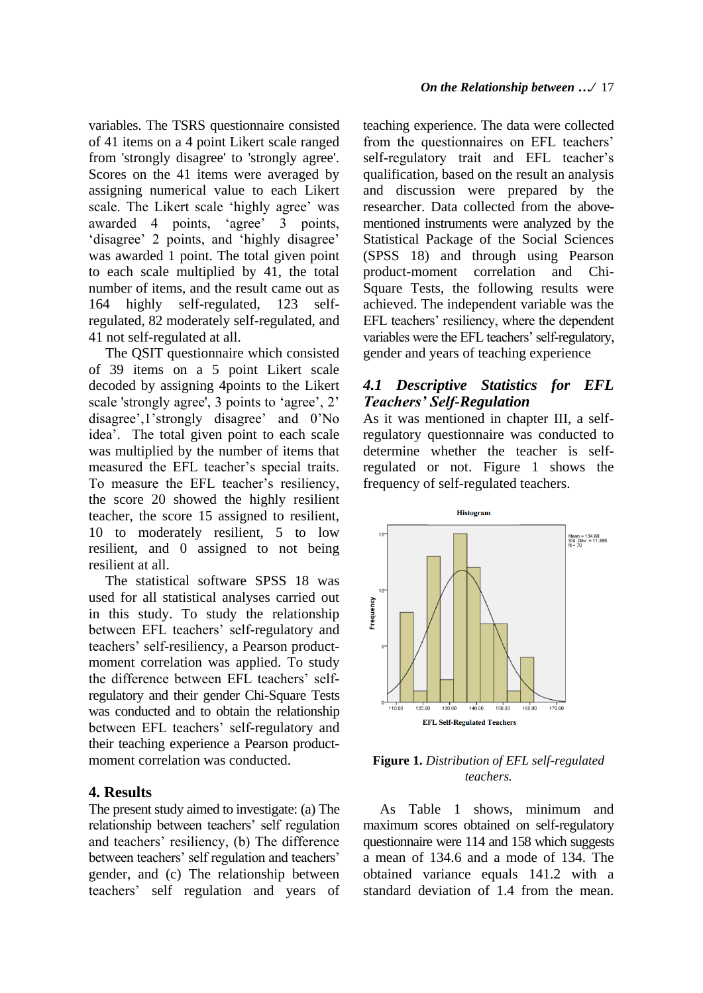variables. The TSRS questionnaire consisted of 41 items on a 4 point Likert scale ranged from 'strongly disagree' to 'strongly agree'. Scores on the 41 items were averaged by assigning numerical value to each Likert scale. The Likert scale 'highly agree' was awarded 4 points, 'agree' 3 points, 'disagree' 2 points, and 'highly disagree' was awarded 1 point. The total given point to each scale multiplied by 41, the total number of items, and the result came out as 164 highly self-regulated, 123 selfregulated, 82 moderately self-regulated, and 41 not self-regulated at all.

The QSIT questionnaire which consisted of 39 items on a 5 point Likert scale decoded by assigning 4points to the Likert scale 'strongly agree', 3 points to 'agree', 2' disagree',1'strongly disagree' and 0'No idea'. The total given point to each scale was multiplied by the number of items that measured the EFL teacher's special traits. To measure the EFL teacher's resiliency, the score 20 showed the highly resilient teacher, the score 15 assigned to resilient, 10 to moderately resilient, 5 to low resilient, and 0 assigned to not being resilient at all.

The statistical software SPSS 18 was used for all statistical analyses carried out in this study. To study the relationship between EFL teachers' self-regulatory and teachers' self-resiliency, a Pearson productmoment correlation was applied. To study the difference between EFL teachers' selfregulatory and their gender Chi-Square Tests was conducted and to obtain the relationship between EFL teachers' self-regulatory and their teaching experience a Pearson productmoment correlation was conducted.

### **4. Results**

The present study aimed to investigate: (a) The relationship between teachers' self regulation and teachers' resiliency, (b) The difference between teachers' self regulation and teachers' gender, and (c) The relationship between teachers' self regulation and years of teaching experience. The data were collected from the questionnaires on EFL teachers' self-regulatory trait and EFL teacher's qualification, based on the result an analysis and discussion were prepared by the researcher. Data collected from the abovementioned instruments were analyzed by the Statistical Package of the Social Sciences (SPSS 18) and through using Pearson product-moment correlation and Chi-Square Tests, the following results were achieved. The independent variable was the EFL teachers' resiliency, where the dependent variables were the EFL teachers' self-regulatory, gender and years of teaching experience

### *4.1 Descriptive Statistics for EFL Teachers' Self-Regulation*

As it was mentioned in chapter III, a selfregulatory questionnaire was conducted to determine whether the teacher is selfregulated or not. Figure 1 shows the frequency of self-regulated teachers.



#### **Figure 1.** *Distribution of EFL self-regulated teachers.*

As Table 1 shows, minimum and maximum scores obtained on self-regulatory questionnaire were 114 and 158 which suggests a mean of 134.6 and a mode of 134. The obtained variance equals 141.2 with a standard deviation of 1.4 from the mean.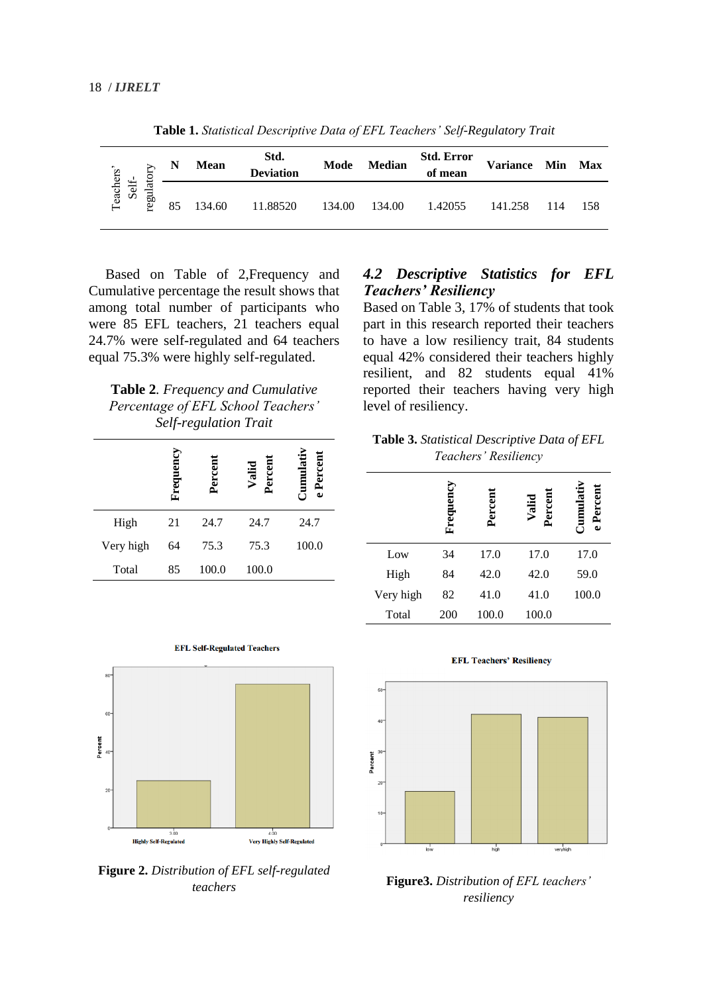|                    |          | N  | <b>Mean</b> | Std.<br><b>Deviation</b> | Mode   | <b>Median</b> | <b>Std. Error</b><br>of mean | Variance Min |     | <b>Max</b> |
|--------------------|----------|----|-------------|--------------------------|--------|---------------|------------------------------|--------------|-----|------------|
| Teachers'<br>Self- | regulato | 85 | 134.60      | 11.88520                 | 134.00 | 134.00        | 1.42055                      | 141.258      | 114 | -158       |

**Table 1.** *Statistical Descriptive Data of EFL Teachers' Self-Regulatory Trait*

Based on Table of 2,Frequency and Cumulative percentage the result shows that among total number of participants who were 85 EFL teachers, 21 teachers equal 24.7% were self-regulated and 64 teachers equal 75.3% were highly self-regulated.

**Table 2***. Frequency and Cumulative Percentage of EFL School Teachers' Self-regulation Trait*

|           | Frequency | Percent | Percen<br>Valid | Perc<br>ω |
|-----------|-----------|---------|-----------------|-----------|
| High      | 21        | 24.7    | 24.7            | 24.7      |
| Very high | 64        | 75.3    | 75.3            | 100.0     |
| Total     | 85        | 100.0   | 100.0           |           |



**Figure 2.** *Distribution of EFL self-regulated teachers*

### *4.2 Descriptive Statistics for EFL Teachers' Resiliency*

Based on Table 3, 17% of students that took part in this research reported their teachers to have a low resiliency trait, 84 students equal 42% considered their teachers highly resilient, and 82 students equal 41% reported their teachers having very high level of resiliency.

**Table 3.** *Statistical Descriptive Data of EFL Teachers' Resiliency*

|           | Frequency | Percent | Percent<br>Valid | Percen<br>ω |
|-----------|-----------|---------|------------------|-------------|
| Low       | 34        | 17.0    | 17.0             | 17.0        |
| High      | 84        | 42.0    | 42.0             | 59.0        |
| Very high | 82        | 41.0    | 41.0             | 100.0       |
| Total     | 200       | 100.0   | 100.0            |             |



**Figure3.** *Distribution of EFL teachers' resiliency*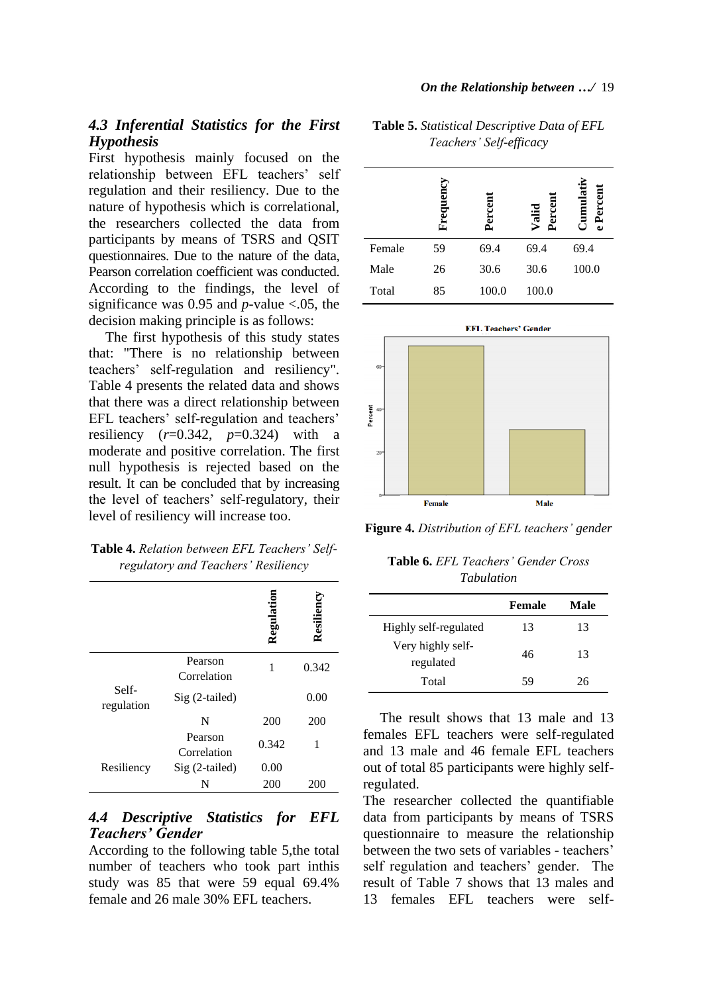### *4.3 Inferential Statistics for the First Hypothesis*

First hypothesis mainly focused on the relationship between EFL teachers' self regulation and their resiliency. Due to the nature of hypothesis which is correlational, the researchers collected the data from participants by means of TSRS and QSIT questionnaires. Due to the nature of the data, Pearson correlation coefficient was conducted. According to the findings, the level of significance was 0.95 and  $p$ -value <.05, the decision making principle is as follows:

The first hypothesis of this study states that: "There is no relationship between teachers' self-regulation and resiliency". Table 4 presents the related data and shows that there was a direct relationship between EFL teachers' self-regulation and teachers' resiliency  $(r=0.342, p=0.324)$  with a moderate and positive correlation. The first null hypothesis is rejected based on the result. It can be concluded that by increasing the level of teachers' self-regulatory, their level of resiliency will increase too.

| Table 4. Relation between EFL Teachers' Self- |  |
|-----------------------------------------------|--|
| regulatory and Teachers' Resiliency           |  |

|                     |                        | Regulatio | Resilienc |
|---------------------|------------------------|-----------|-----------|
|                     | Pearson<br>Correlation | 1         | 0.342     |
| Self-<br>regulation | $Sig(2-tailed)$        |           | 0.00      |
|                     | N                      | 200       | 200       |
|                     | Pearson<br>Correlation | 0.342     | 1         |
| Resiliency          | Sig (2-tailed)         | 0.00      |           |
|                     | N                      | 200       | 200       |

### *4.4 Descriptive Statistics for EFL Teachers' Gender*

According to the following table 5,the total number of teachers who took part inthis study was 85 that were 59 equal 69.4% female and 26 male 30% EFL teachers.

|        | Frequency | 5<br>ēτ | Valid<br>ã | ulativ<br>5<br>سر<br>سر |
|--------|-----------|---------|------------|-------------------------|
| Female | 59        | 69.4    | 69.4       | 69.4                    |
| Male   | 26        | 30.6    | 30.6       | 100.0                   |

**Table 5.** *Statistical Descriptive Data of EFL Teachers' Self-efficacy*





**Figure 4.** *Distribution of EFL teachers' gender*

**Table 6.** *EFL Teachers' Gender Cross Tabulation*

|                                | <b>Female</b> | Male |
|--------------------------------|---------------|------|
| Highly self-regulated          | 13            | 13   |
| Very highly self-<br>regulated | 46            | 13   |
| Total                          | 59            | 26   |

The result shows that 13 male and 13 females EFL teachers were self-regulated and 13 male and 46 female EFL teachers out of total 85 participants were highly selfregulated.

The researcher collected the quantifiable data from participants by means of TSRS questionnaire to measure the relationship between the two sets of variables - teachers' self regulation and teachers' gender. The result of Table 7 shows that 13 males and 13 females EFL teachers were self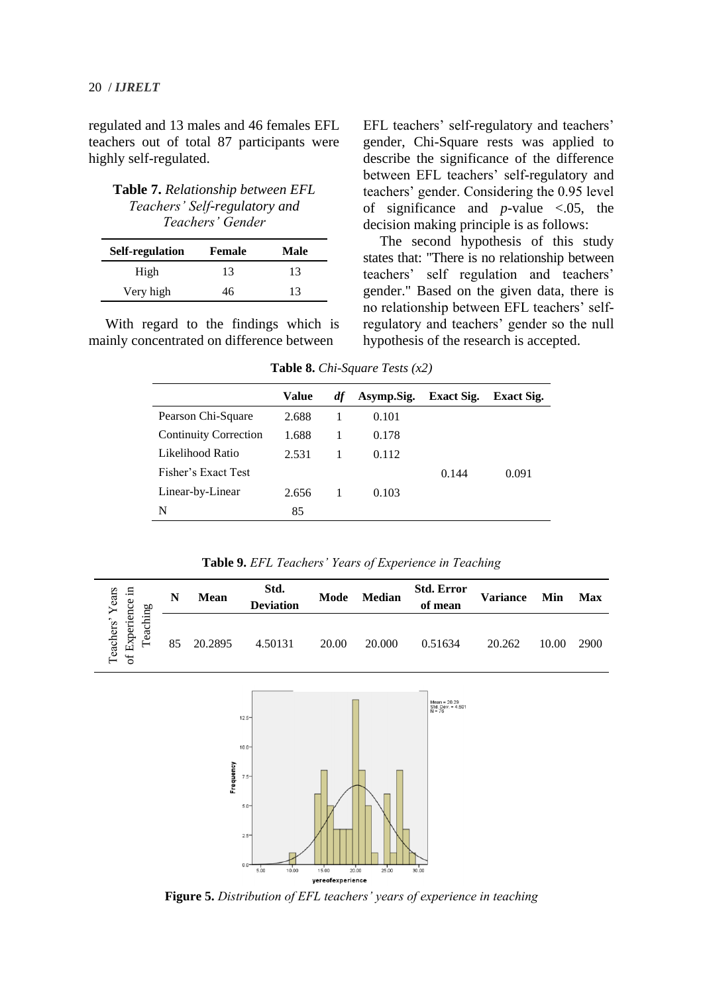20 / *IJRELT*

regulated and 13 males and 46 females EFL teachers out of total 87 participants were highly self-regulated.

**Table 7.** *Relationship between EFL Teachers' Self-regulatory and Teachers' Gender*

| Self-regulation | <b>Female</b> | Male |
|-----------------|---------------|------|
| High            | 13            | 13   |
| Very high       | 46            | 13   |

With regard to the findings which is mainly concentrated on difference between

EFL teachers' self-regulatory and teachers' gender, Chi-Square rests was applied to describe the significance of the difference between EFL teachers' self-regulatory and teachers' gender. Considering the 0.95 level of significance and *p*-value <.05, the decision making principle is as follows:

The second hypothesis of this study states that: "There is no relationship between teachers' self regulation and teachers' gender." Based on the given data, there is no relationship between EFL teachers' selfregulatory and teachers' gender so the null hypothesis of the research is accepted.

**Table 8.** *Chi-Square Tests (x2)*

|                              | Value | df | Asymp.Sig. | <b>Exact Sig.</b> | <b>Exact Sig.</b> |
|------------------------------|-------|----|------------|-------------------|-------------------|
| Pearson Chi-Square           | 2.688 |    | 0.101      |                   |                   |
| <b>Continuity Correction</b> | 1.688 |    | 0.178      |                   |                   |
| Likelihood Ratio             | 2.531 |    | 0.112      |                   |                   |
| Fisher's Exact Test          |       |    |            | 0.144             | 0.091             |
| Linear-by-Linear             | 2.656 |    | 0.103      |                   |                   |
| N                            | 85    |    |            |                   |                   |

**Table 9.** *EFL Teachers' Years of Experience in Teaching*

| Years<br>.드<br>nce<br>60<br>⋴                          | N  | <b>Mean</b> | Std.<br><b>Deviation</b> | Mode  | <b>Median</b> | <b>Std. Error</b><br>of mean | <b>Variance</b> | Min   | <b>Max</b> |
|--------------------------------------------------------|----|-------------|--------------------------|-------|---------------|------------------------------|-----------------|-------|------------|
| Φ<br>cii<br>leachers'<br>Experi<br>ea<br>–<br>$\sigma$ | 85 | 20.2895     | 4.50131                  | 20.00 | 20.000        | 0.51634                      | 20.262          | 10.00 | 2900       |



**Figure 5.** *Distribution of EFL teachers' years of experience in teaching*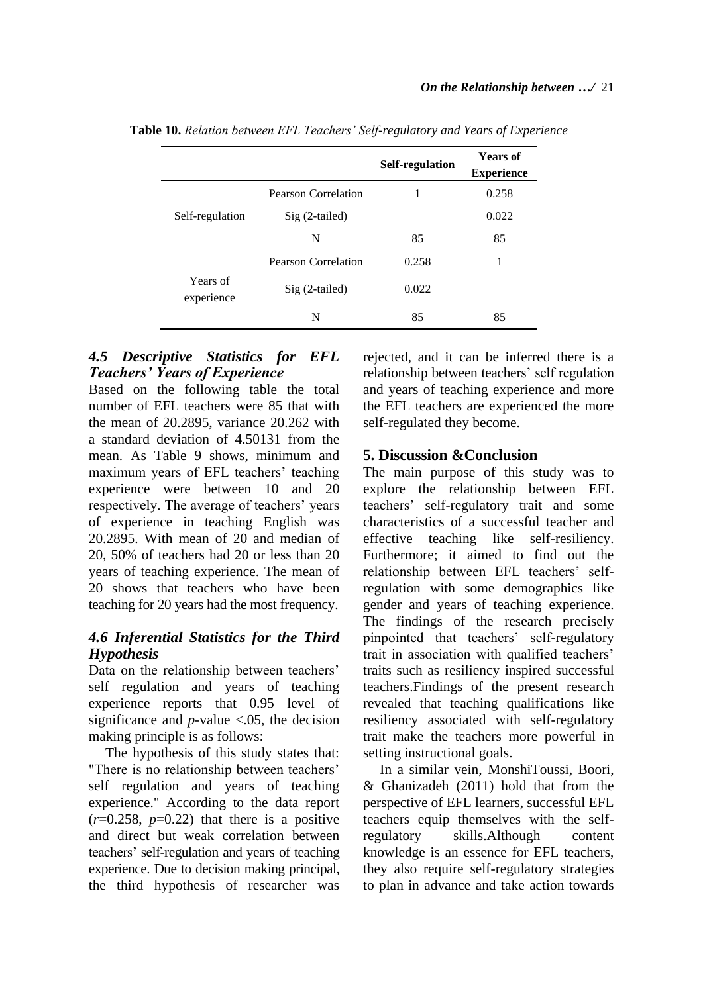|                        |                            | Self-regulation | <b>Years of</b><br><b>Experience</b> |
|------------------------|----------------------------|-----------------|--------------------------------------|
|                        | <b>Pearson Correlation</b> | 1               | 0.258                                |
| Self-regulation        | $Sig(2-tailed)$            |                 | 0.022                                |
|                        | N                          | 85              | 85                                   |
|                        | <b>Pearson Correlation</b> | 0.258           |                                      |
| Years of<br>experience | Sig (2-tailed)             | 0.022           |                                      |
|                        | N                          | 85              | 85                                   |

**Table 10.** *Relation between EFL Teachers' Self-regulatory and Years of Experience*

### *4.5 Descriptive Statistics for EFL Teachers' Years of Experience*

Based on the following table the total number of EFL teachers were 85 that with the mean of 20.2895, variance 20.262 with a standard deviation of 4.50131 from the mean. As Table 9 shows, minimum and maximum years of EFL teachers' teaching experience were between 10 and 20 respectively. The average of teachers' years of experience in teaching English was 20.2895. With mean of 20 and median of 20, 50% of teachers had 20 or less than 20 years of teaching experience. The mean of 20 shows that teachers who have been teaching for 20 years had the most frequency.

### *4.6 Inferential Statistics for the Third Hypothesis*

Data on the relationship between teachers' self regulation and years of teaching experience reports that 0.95 level of significance and  $p$ -value <.05, the decision making principle is as follows:

The hypothesis of this study states that: "There is no relationship between teachers' self regulation and years of teaching experience." According to the data report  $(r=0.258, p=0.22)$  that there is a positive and direct but weak correlation between teachers' self-regulation and years of teaching experience. Due to decision making principal, the third hypothesis of researcher was

rejected, and it can be inferred there is a relationship between teachers' self regulation and years of teaching experience and more the EFL teachers are experienced the more self-regulated they become.

### **5. Discussion &Conclusion**

The main purpose of this study was to explore the relationship between EFL teachers' self-regulatory trait and some characteristics of a successful teacher and effective teaching like self-resiliency. Furthermore; it aimed to find out the relationship between EFL teachers' selfregulation with some demographics like gender and years of teaching experience. The findings of the research precisely pinpointed that teachers' self-regulatory trait in association with qualified teachers' traits such as resiliency inspired successful teachers.Findings of the present research revealed that teaching qualifications like resiliency associated with self-regulatory trait make the teachers more powerful in setting instructional goals.

In a similar vein, MonshiToussi, Boori, & Ghanizadeh (2011) hold that from the perspective of EFL learners, successful EFL teachers equip themselves with the selfregulatory skills.Although content knowledge is an essence for EFL teachers, they also require self-regulatory strategies to plan in advance and take action towards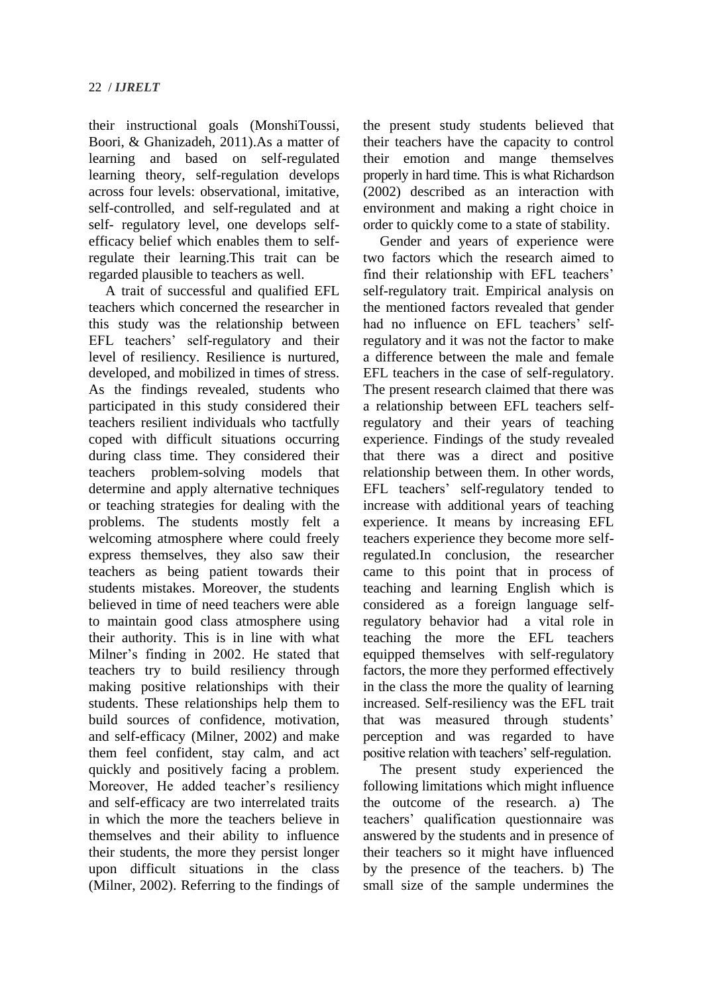their instructional goals (MonshiToussi, Boori, & Ghanizadeh, 2011).As a matter of learning and based on self-regulated learning theory, self-regulation develops across four levels: observational, imitative, self-controlled, and self-regulated and at self- regulatory level, one develops selfefficacy belief which enables them to selfregulate their learning.This trait can be regarded plausible to teachers as well.

A trait of successful and qualified EFL teachers which concerned the researcher in this study was the relationship between EFL teachers' self-regulatory and their level of resiliency. Resilience is nurtured, developed, and mobilized in times of stress. As the findings revealed, students who participated in this study considered their teachers resilient individuals who tactfully coped with difficult situations occurring during class time. They considered their teachers problem-solving models that determine and apply alternative techniques or teaching strategies for dealing with the problems. The students mostly felt a welcoming atmosphere where could freely express themselves, they also saw their teachers as being patient towards their students mistakes. Moreover, the students believed in time of need teachers were able to maintain good class atmosphere using their authority. This is in line with what Milner's finding in 2002. He stated that teachers try to build resiliency through making positive relationships with their students. These relationships help them to build sources of confidence, motivation, and self-efficacy (Milner, 2002) and make them feel confident, stay calm, and act quickly and positively facing a problem. Moreover, He added teacher's resiliency and self-efficacy are two interrelated traits in which the more the teachers believe in themselves and their ability to influence their students, the more they persist longer upon difficult situations in the class (Milner, 2002). Referring to the findings of the present study students believed that their teachers have the capacity to control their emotion and mange themselves properly in hard time. This is what Richardson (2002) described as an interaction with environment and making a right choice in order to quickly come to a state of stability.

Gender and years of experience were two factors which the research aimed to find their relationship with EFL teachers' self-regulatory trait. Empirical analysis on the mentioned factors revealed that gender had no influence on EFL teachers' selfregulatory and it was not the factor to make a difference between the male and female EFL teachers in the case of self-regulatory. The present research claimed that there was a relationship between EFL teachers selfregulatory and their years of teaching experience. Findings of the study revealed that there was a direct and positive relationship between them. In other words, EFL teachers' self-regulatory tended to increase with additional years of teaching experience. It means by increasing EFL teachers experience they become more selfregulated.In conclusion, the researcher came to this point that in process of teaching and learning English which is considered as a foreign language selfregulatory behavior had a vital role in teaching the more the EFL teachers equipped themselves with self-regulatory factors, the more they performed effectively in the class the more the quality of learning increased. Self-resiliency was the EFL trait that was measured through students' perception and was regarded to have positive relation with teachers' self-regulation.

The present study experienced the following limitations which might influence the outcome of the research. a) The teachers' qualification questionnaire was answered by the students and in presence of their teachers so it might have influenced by the presence of the teachers. b) The small size of the sample undermines the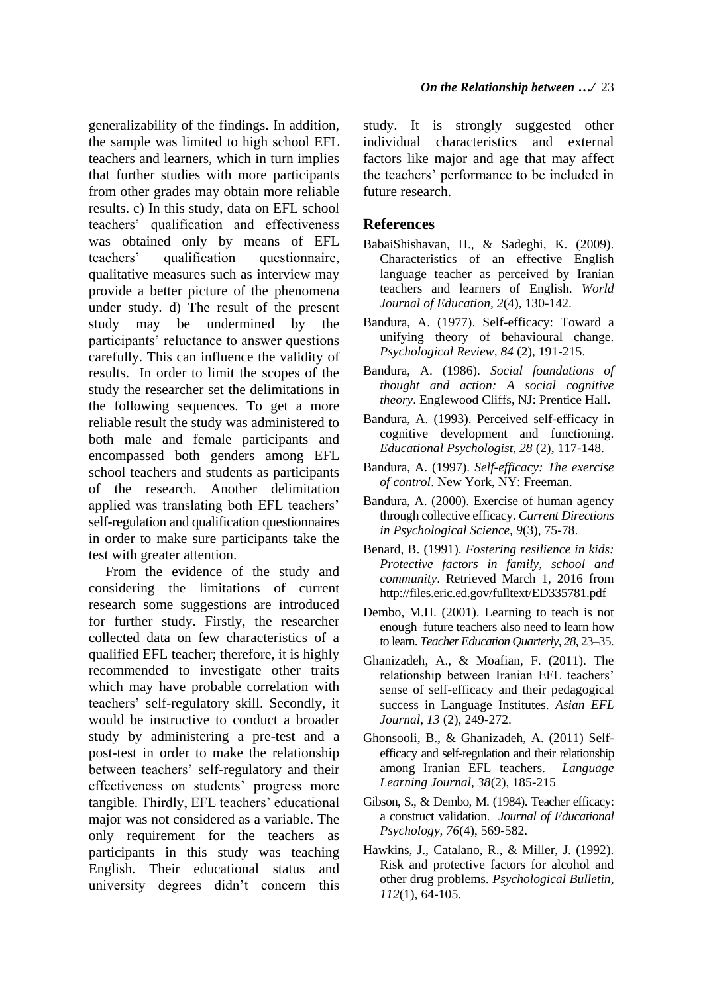generalizability of the findings. In addition, the sample was limited to high school EFL teachers and learners, which in turn implies that further studies with more participants from other grades may obtain more reliable results. c) In this study, data on EFL school teachers' qualification and effectiveness was obtained only by means of EFL teachers' qualification questionnaire, qualitative measures such as interview may provide a better picture of the phenomena under study. d) The result of the present study may be undermined by the participants' reluctance to answer questions carefully. This can influence the validity of results. In order to limit the scopes of the study the researcher set the delimitations in the following sequences. To get a more reliable result the study was administered to both male and female participants and encompassed both genders among EFL school teachers and students as participants of the research. Another delimitation applied was translating both EFL teachers' self-regulation and qualification questionnaires in order to make sure participants take the test with greater attention.

From the evidence of the study and considering the limitations of current research some suggestions are introduced for further study. Firstly, the researcher collected data on few characteristics of a qualified EFL teacher; therefore, it is highly recommended to investigate other traits which may have probable correlation with teachers' self-regulatory skill. Secondly, it would be instructive to conduct a broader study by administering a pre-test and a post-test in order to make the relationship between teachers' self-regulatory and their effectiveness on students' progress more tangible. Thirdly, EFL teachers' educational major was not considered as a variable. The only requirement for the teachers as participants in this study was teaching English. Their educational status and university degrees didn't concern this

study. It is strongly suggested other individual characteristics and external factors like major and age that may affect the teachers' performance to be included in future research.

### **References**

- BabaiShishavan, H., & Sadeghi, K. (2009). Characteristics of an effective English language teacher as perceived by Iranian teachers and learners of English. *World Journal of Education, 2*(4), 130-142.
- Bandura, A. (1977). Self-efficacy: Toward a unifying theory of behavioural change. *Psychological Review, 84* (2), 191-215.
- Bandura, A. (1986). *Social foundations of thought and action: A social cognitive theory*. Englewood Cliffs, NJ: Prentice Hall.
- Bandura, A. (1993). Perceived self-efficacy in cognitive development and functioning. *Educational Psychologist, 28* (2), 117-148.
- Bandura, A. (1997). *Self-efficacy: The exercise of control*. New York, NY: Freeman.
- Bandura, A. (2000). Exercise of human agency through collective efficacy. *Current Directions in Psychological Science, 9*(3), 75-78.
- Benard, B. (1991). *Fostering resilience in kids: Protective factors in family, school and community*. Retrieved March 1, 2016 from http://files.eric.ed.gov/fulltext/ED335781.pdf
- Dembo, M.H. (2001). Learning to teach is not enough–future teachers also need to learn how to learn. *Teacher Education Quarterly, 28*, 23–35.
- Ghanizadeh, A., & Moafian, F. (2011). The relationship between Iranian EFL teachers' sense of self-efficacy and their pedagogical success in Language Institutes. *Asian EFL Journal, 13* (2), 249-272.
- Ghonsooli, B., & Ghanizadeh, A. (2011) Selfefficacy and self-regulation and their relationship among Iranian EFL teachers. *Language Learning Journal, 38*(2), 185-215
- Gibson, S., & Dembo, M. (1984). Teacher efficacy: a construct validation. *Journal of Educational Psychology, 76*(4), 569-582.
- Hawkins, J., Catalano, R., & Miller, J. (1992). Risk and protective factors for alcohol and other drug problems. *Psychological Bulletin, 112*(1), 64-105.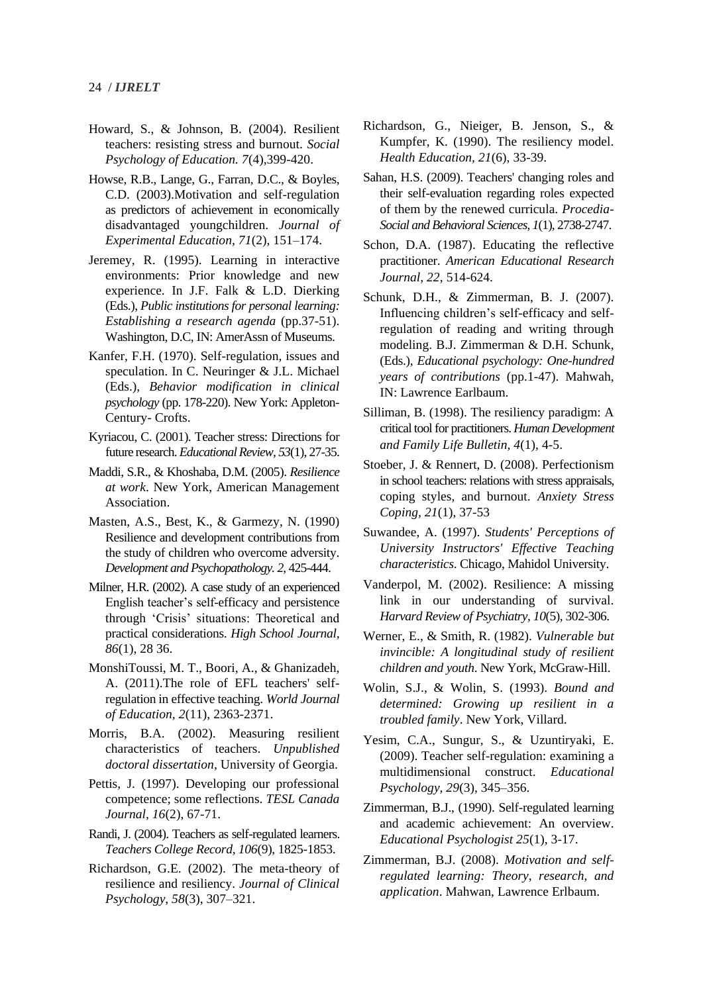- Howard, S., & Johnson, B. (2004). Resilient teachers: resisting stress and burnout. *Social Psychology of Education. 7*(4),399-420.
- Howse, R.B., Lange, G., Farran, D.C., & Boyles, C.D. (2003).Motivation and self-regulation as predictors of achievement in economically disadvantaged youngchildren. *Journal of Experimental Education, 71*(2), 151–174.
- Jeremey, R. (1995). Learning in interactive environments: Prior knowledge and new experience. In J.F. Falk & L.D. Dierking (Eds.), *Public institutions for personal learning: Establishing a research agenda* (pp.37-51). Washington, D.C, IN: AmerAssn of Museums.
- Kanfer, F.H. (1970). Self-regulation, issues and speculation. In C. Neuringer & J.L. Michael (Eds.), *Behavior modification in clinical psychology* (pp. 178-220). New York: Appleton-Century- Crofts.
- Kyriacou, C. (2001). Teacher stress: Directions for future research. *Educational Review, 53*(1), 27-35.
- Maddi, S.R., & Khoshaba, D.M. (2005). *Resilience at work*. New York, American Management Association.
- Masten, A.S., Best, K., & Garmezy, N. (1990) Resilience and development contributions from the study of children who overcome adversity. *Development and Psychopathology. 2*, 425-444.
- Milner, H.R. (2002). A case study of an experienced English teacher's self-efficacy and persistence through 'Crisis' situations: Theoretical and practical considerations. *High School Journal, 86*(1), 28 36.
- MonshiToussi, M. T., Boori, A., & Ghanizadeh, A. (2011).The role of EFL teachers' selfregulation in effective teaching. *World Journal of Education, 2*(11), 2363-2371.
- Morris, B.A. (2002). Measuring resilient characteristics of teachers. *Unpublished doctoral dissertation*, University of Georgia.
- Pettis, J. (1997). Developing our professional competence; some reflections. *TESL Canada Journal, 16*(2), 67-71.
- Randi, J. (2004). Teachers as self-regulated learners. *Teachers College Record, 106*(9), 1825-1853.
- Richardson, G.E. (2002). The meta-theory of resilience and resiliency. *Journal of Clinical Psychology, 58*(3), 307–321.
- Richardson, G., Nieiger, B. Jenson, S., & Kumpfer, K. (1990). The resiliency model. *Health Education, 21*(6), 33-39.
- Sahan, H.S. (2009). Teachers' changing roles and their self-evaluation regarding roles expected of them by the renewed curricula. *Procedia-Social and Behavioral Sciences, 1*(1), 2738-2747.
- Schon, D.A. (1987). Educating the reflective practitioner. *American Educational Research Journal, 22*, 514-624.
- Schunk, D.H., & Zimmerman, B. J. (2007). Influencing children's self-efficacy and selfregulation of reading and writing through modeling. B.J. Zimmerman & D.H. Schunk, (Eds.), *Educational psychology: One-hundred years of contributions* (pp.1-47). Mahwah, IN: Lawrence Earlbaum.
- Silliman, B. (1998). The resiliency paradigm: A critical tool for practitioners. *Human Development and Family Life Bulletin, 4*(1), 4-5.
- Stoeber, J. & Rennert, D. (2008). Perfectionism in school teachers: relations with stress appraisals, coping styles, and burnout. *[Anxiety](http://www.ncbi.nlm.nih.gov/pubmed/18027123) Stress [Coping,](http://www.ncbi.nlm.nih.gov/pubmed/18027123) 21*(1), 37-53
- Suwandee, A. (1997). *Students' Perceptions of University Instructors' Effective Teaching characteristics*. Chicago, Mahidol University.
- Vanderpol, M. (2002). Resilience: A missing link in our understanding of survival. *Harvard Review of Psychiatry, 10*(5), 302-306.
- Werner, E., & Smith, R. (1982). *Vulnerable but invincible: A longitudinal study of resilient children and youth*. New York, McGraw-Hill.
- Wolin, S.J., & Wolin, S. (1993). *Bound and determined: Growing up resilient in a troubled family*. New York, Villard.
- Yesim, C.A., Sungur, S., & Uzuntiryaki, E. (2009). Teacher self-regulation: examining a multidimensional construct. *Educational Psychology, 29*(3), 345–356.
- Zimmerman, B.J., (1990). Self-regulated learning and academic achievement: An overview. *Educational Psychologist 25*(1), 3-17.
- Zimmerman, B.J. (2008). *Motivation and selfregulated learning: Theory, research, and application*. Mahwan, Lawrence Erlbaum.